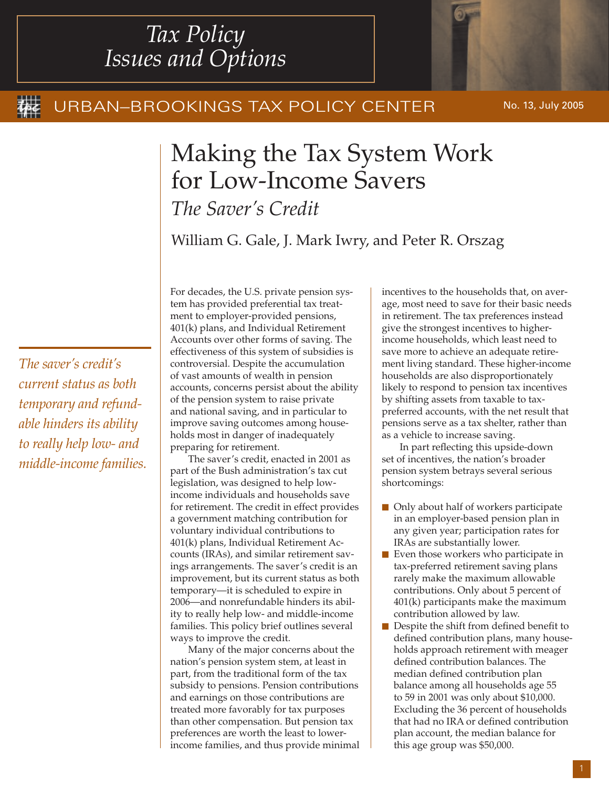# *Tax Policy Issues and Options*

### URBAN-BROOKINGS TAX POLICY CENTER

No. 13, July 2005

## Making the Tax System Work for Low-Income Savers *The Saver's Credit*

William G. Gale, J. Mark Iwry, and Peter R. Orszag

*The saver's credit's current status as both temporary and refundable hinders its ability to really help low- and middle-income families.* For decades, the U.S. private pension system has provided preferential tax treatment to employer-provided pensions, 401(k) plans, and Individual Retirement Accounts over other forms of saving. The effectiveness of this system of subsidies is controversial. Despite the accumulation of vast amounts of wealth in pension accounts, concerns persist about the ability of the pension system to raise private and national saving, and in particular to improve saving outcomes among households most in danger of inadequately preparing for retirement.

The saver's credit, enacted in 2001 as part of the Bush administration's tax cut legislation, was designed to help lowincome individuals and households save for retirement. The credit in effect provides a government matching contribution for voluntary individual contributions to 401(k) plans, Individual Retirement Accounts (IRAs), and similar retirement savings arrangements. The saver's credit is an improvement, but its current status as both temporary—it is scheduled to expire in 2006—and nonrefundable hinders its ability to really help low- and middle-income families. This policy brief outlines several ways to improve the credit.

Many of the major concerns about the nation's pension system stem, at least in part, from the traditional form of the tax subsidy to pensions. Pension contributions and earnings on those contributions are treated more favorably for tax purposes than other compensation. But pension tax preferences are worth the least to lowerincome families, and thus provide minimal incentives to the households that, on average, most need to save for their basic needs in retirement. The tax preferences instead give the strongest incentives to higherincome households, which least need to save more to achieve an adequate retirement living standard. These higher-income households are also disproportionately likely to respond to pension tax incentives by shifting assets from taxable to taxpreferred accounts, with the net result that pensions serve as a tax shelter, rather than as a vehicle to increase saving.

In part reflecting this upside-down set of incentives, the nation's broader pension system betrays several serious shortcomings:

- **n** Only about half of workers participate in an employer-based pension plan in any given year; participation rates for IRAs are substantially lower.
- Even those workers who participate in tax-preferred retirement saving plans rarely make the maximum allowable contributions. Only about 5 percent of 401(k) participants make the maximum contribution allowed by law.
- **n** Despite the shift from defined benefit to defined contribution plans, many households approach retirement with meager defined contribution balances. The median defined contribution plan balance among all households age 55 to 59 in 2001 was only about \$10,000. Excluding the 36 percent of households that had no IRA or defined contribution plan account, the median balance for this age group was \$50,000.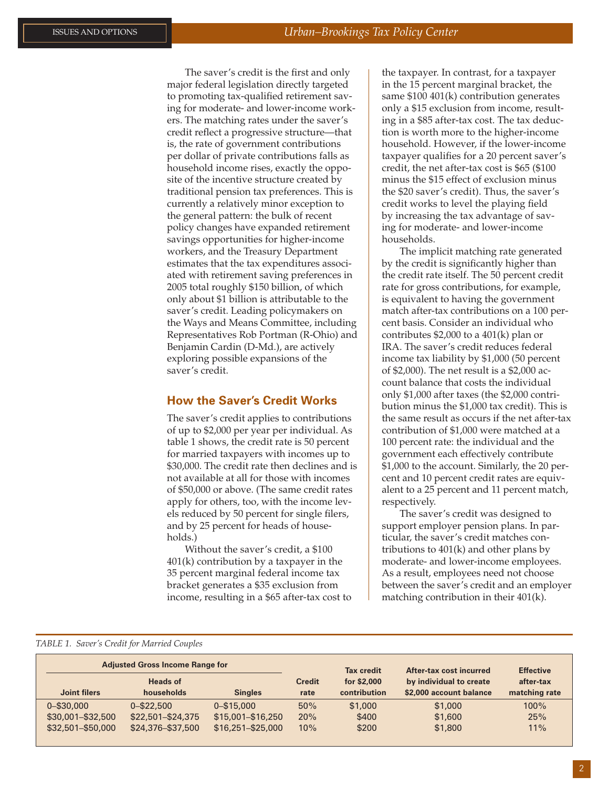The saver's credit is the first and only major federal legislation directly targeted to promoting tax-qualified retirement saving for moderate- and lower-income workers. The matching rates under the saver's credit reflect a progressive structure—that is, the rate of government contributions per dollar of private contributions falls as household income rises, exactly the opposite of the incentive structure created by traditional pension tax preferences. This is currently a relatively minor exception to the general pattern: the bulk of recent policy changes have expanded retirement savings opportunities for higher-income workers, and the Treasury Department estimates that the tax expenditures associated with retirement saving preferences in 2005 total roughly \$150 billion, of which only about \$1 billion is attributable to the saver's credit. Leading policymakers on the Ways and Means Committee, including Representatives Rob Portman (R-Ohio) and Benjamin Cardin (D-Md.), are actively exploring possible expansions of the saver's credit.

#### **How the Saver's Credit Works**

The saver's credit applies to contributions of up to \$2,000 per year per individual. As table 1 shows, the credit rate is 50 percent for married taxpayers with incomes up to \$30,000. The credit rate then declines and is not available at all for those with incomes of \$50,000 or above. (The same credit rates apply for others, too, with the income levels reduced by 50 percent for single filers, and by 25 percent for heads of households.)

Without the saver's credit, a \$100 401(k) contribution by a taxpayer in the 35 percent marginal federal income tax bracket generates a \$35 exclusion from income, resulting in a \$65 after-tax cost to the taxpayer. In contrast, for a taxpayer in the 15 percent marginal bracket, the same \$100 401(k) contribution generates only a \$15 exclusion from income, resulting in a \$85 after-tax cost. The tax deduction is worth more to the higher-income household. However, if the lower-income taxpayer qualifies for a 20 percent saver's credit, the net after-tax cost is \$65 (\$100 minus the \$15 effect of exclusion minus the \$20 saver's credit). Thus, the saver's credit works to level the playing field by increasing the tax advantage of saving for moderate- and lower-income households.

The implicit matching rate generated by the credit is significantly higher than the credit rate itself. The 50 percent credit rate for gross contributions, for example, is equivalent to having the government match after-tax contributions on a 100 percent basis. Consider an individual who contributes \$2,000 to a 401(k) plan or IRA. The saver's credit reduces federal income tax liability by \$1,000 (50 percent of \$2,000). The net result is a \$2,000 account balance that costs the individual only \$1,000 after taxes (the \$2,000 contribution minus the \$1,000 tax credit). This is the same result as occurs if the net after-tax contribution of \$1,000 were matched at a 100 percent rate: the individual and the government each effectively contribute \$1,000 to the account. Similarly, the 20 percent and 10 percent credit rates are equivalent to a 25 percent and 11 percent match, respectively.

The saver's credit was designed to support employer pension plans. In particular, the saver's credit matches contributions to 401(k) and other plans by moderate- and lower-income employees. As a result, employees need not choose between the saver's credit and an employer matching contribution in their 401(k).

#### *TABLE 1. Saver's Credit for Married Couples*

| <b>Adjusted Gross Income Range for</b> |                   |                     |               | <b>Tax credit</b> | After-tax cost incurred | <b>Effective</b> |
|----------------------------------------|-------------------|---------------------|---------------|-------------------|-------------------------|------------------|
|                                        | <b>Heads of</b>   |                     | <b>Credit</b> | for \$2,000       | by individual to create | after-tax        |
| Joint filers                           | households        | <b>Singles</b>      | rate          | contribution      | \$2,000 account balance | matching rate    |
| $0 - $30,000$                          | $0 - $22.500$     | $0 - $15,000$       | 50%           | \$1,000           | \$1,000                 | $100\%$          |
| \$30,001-\$32,500                      | \$22,501-\$24,375 | \$15,001-\$16,250   | 20%           | \$400             | \$1,600                 | 25%              |
| \$32,501-\$50,000                      | \$24,376-\$37,500 | $$16.251 - $25.000$ | 10%           | \$200             | \$1,800                 | 11%              |
|                                        |                   |                     |               |                   |                         |                  |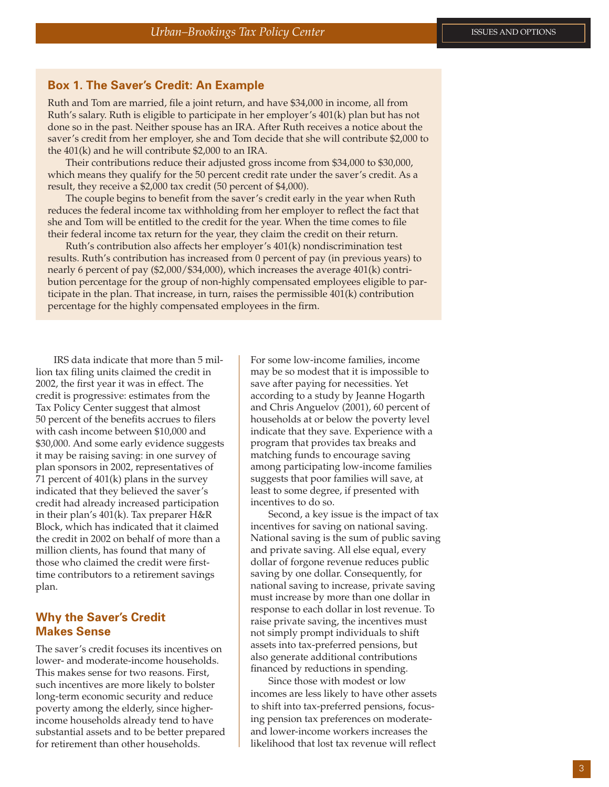#### **Box 1. The Saver's Credit: An Example**

Ruth and Tom are married, file a joint return, and have \$34,000 in income, all from Ruth's salary. Ruth is eligible to participate in her employer's 401(k) plan but has not done so in the past. Neither spouse has an IRA. After Ruth receives a notice about the saver's credit from her employer, she and Tom decide that she will contribute \$2,000 to the 401(k) and he will contribute \$2,000 to an IRA.

Their contributions reduce their adjusted gross income from \$34,000 to \$30,000, which means they qualify for the 50 percent credit rate under the saver's credit. As a result, they receive a \$2,000 tax credit (50 percent of \$4,000).

The couple begins to benefit from the saver's credit early in the year when Ruth reduces the federal income tax withholding from her employer to reflect the fact that she and Tom will be entitled to the credit for the year. When the time comes to file their federal income tax return for the year, they claim the credit on their return.

Ruth's contribution also affects her employer's 401(k) nondiscrimination test results. Ruth's contribution has increased from 0 percent of pay (in previous years) to nearly 6 percent of pay (\$2,000/\$34,000), which increases the average 401(k) contribution percentage for the group of non-highly compensated employees eligible to participate in the plan. That increase, in turn, raises the permissible 401(k) contribution percentage for the highly compensated employees in the firm.

IRS data indicate that more than 5 million tax filing units claimed the credit in 2002, the first year it was in effect. The credit is progressive: estimates from the Tax Policy Center suggest that almost 50 percent of the benefits accrues to filers with cash income between \$10,000 and \$30,000. And some early evidence suggests it may be raising saving: in one survey of plan sponsors in 2002, representatives of 71 percent of 401(k) plans in the survey indicated that they believed the saver's credit had already increased participation in their plan's 401(k). Tax preparer H&R Block, which has indicated that it claimed the credit in 2002 on behalf of more than a million clients, has found that many of those who claimed the credit were firsttime contributors to a retirement savings plan.

#### **Why the Saver's Credit Makes Sense**

The saver's credit focuses its incentives on lower- and moderate-income households. This makes sense for two reasons. First, such incentives are more likely to bolster long-term economic security and reduce poverty among the elderly, since higherincome households already tend to have substantial assets and to be better prepared for retirement than other households.

For some low-income families, income may be so modest that it is impossible to save after paying for necessities. Yet according to a study by Jeanne Hogarth and Chris Anguelov (2001), 60 percent of households at or below the poverty level indicate that they save. Experience with a program that provides tax breaks and matching funds to encourage saving among participating low-income families suggests that poor families will save, at least to some degree, if presented with incentives to do so.

Second, a key issue is the impact of tax incentives for saving on national saving. National saving is the sum of public saving and private saving. All else equal, every dollar of forgone revenue reduces public saving by one dollar. Consequently, for national saving to increase, private saving must increase by more than one dollar in response to each dollar in lost revenue. To raise private saving, the incentives must not simply prompt individuals to shift assets into tax-preferred pensions, but also generate additional contributions financed by reductions in spending.

Since those with modest or low incomes are less likely to have other assets to shift into tax-preferred pensions, focusing pension tax preferences on moderateand lower-income workers increases the likelihood that lost tax revenue will reflect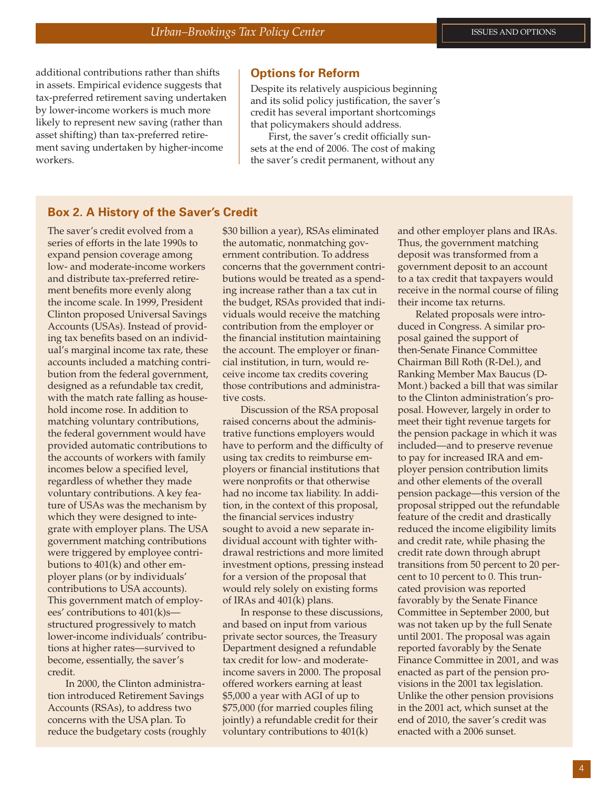additional contributions rather than shifts in assets. Empirical evidence suggests that tax-preferred retirement saving undertaken by lower-income workers is much more likely to represent new saving (rather than asset shifting) than tax-preferred retirement saving undertaken by higher-income workers.

#### **Options for Reform**

Despite its relatively auspicious beginning and its solid policy justification, the saver's credit has several important shortcomings that policymakers should address.

First, the saver's credit officially sunsets at the end of 2006. The cost of making the saver's credit permanent, without any

#### **Box 2. A History of the Saver's Credit**

The saver's credit evolved from a series of efforts in the late 1990s to expand pension coverage among low- and moderate-income workers and distribute tax-preferred retirement benefits more evenly along the income scale. In 1999, President Clinton proposed Universal Savings Accounts (USAs). Instead of providing tax benefits based on an individual's marginal income tax rate, these accounts included a matching contribution from the federal government, designed as a refundable tax credit, with the match rate falling as household income rose. In addition to matching voluntary contributions, the federal government would have provided automatic contributions to the accounts of workers with family incomes below a specified level, regardless of whether they made voluntary contributions. A key feature of USAs was the mechanism by which they were designed to integrate with employer plans. The USA government matching contributions were triggered by employee contributions to 401(k) and other employer plans (or by individuals' contributions to USA accounts). This government match of employees' contributions to 401(k)s structured progressively to match lower-income individuals' contributions at higher rates—survived to become, essentially, the saver's credit.

In 2000, the Clinton administration introduced Retirement Savings Accounts (RSAs), to address two concerns with the USA plan. To reduce the budgetary costs (roughly

\$30 billion a year), RSAs eliminated the automatic, nonmatching government contribution. To address concerns that the government contributions would be treated as a spending increase rather than a tax cut in the budget, RSAs provided that individuals would receive the matching contribution from the employer or the financial institution maintaining the account. The employer or financial institution, in turn, would receive income tax credits covering those contributions and administrative costs.

Discussion of the RSA proposal raised concerns about the administrative functions employers would have to perform and the difficulty of using tax credits to reimburse employers or financial institutions that were nonprofits or that otherwise had no income tax liability. In addition, in the context of this proposal, the financial services industry sought to avoid a new separate individual account with tighter withdrawal restrictions and more limited investment options, pressing instead for a version of the proposal that would rely solely on existing forms of IRAs and 401(k) plans.

In response to these discussions, and based on input from various private sector sources, the Treasury Department designed a refundable tax credit for low- and moderateincome savers in 2000. The proposal offered workers earning at least \$5,000 a year with AGI of up to \$75,000 (for married couples filing jointly) a refundable credit for their voluntary contributions to 401(k)

and other employer plans and IRAs. Thus, the government matching deposit was transformed from a government deposit to an account to a tax credit that taxpayers would receive in the normal course of filing their income tax returns.

Related proposals were introduced in Congress. A similar proposal gained the support of then-Senate Finance Committee Chairman Bill Roth (R-Del.), and Ranking Member Max Baucus (D-Mont.) backed a bill that was similar to the Clinton administration's proposal. However, largely in order to meet their tight revenue targets for the pension package in which it was included—and to preserve revenue to pay for increased IRA and employer pension contribution limits and other elements of the overall pension package—this version of the proposal stripped out the refundable feature of the credit and drastically reduced the income eligibility limits and credit rate, while phasing the credit rate down through abrupt transitions from 50 percent to 20 percent to 10 percent to 0. This truncated provision was reported favorably by the Senate Finance Committee in September 2000, but was not taken up by the full Senate until 2001. The proposal was again reported favorably by the Senate Finance Committee in 2001, and was enacted as part of the pension provisions in the 2001 tax legislation. Unlike the other pension provisions in the 2001 act, which sunset at the end of 2010, the saver's credit was enacted with a 2006 sunset.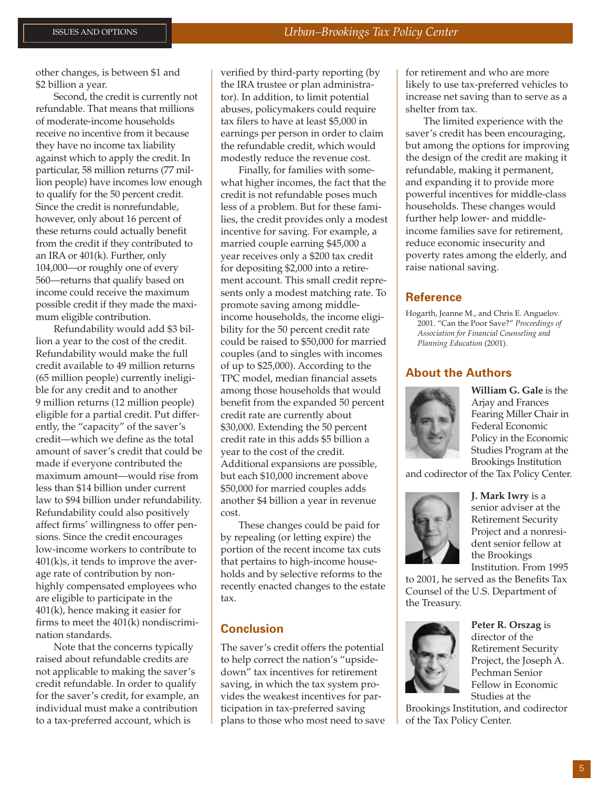other changes, is between \$1 and \$2 billion a year.

Second, the credit is currently not refundable. That means that millions of moderate-income households receive no incentive from it because they have no income tax liability against which to apply the credit. In particular, 58 million returns (77 million people) have incomes low enough to qualify for the 50 percent credit. Since the credit is nonrefundable, however, only about 16 percent of these returns could actually benefit from the credit if they contributed to an IRA or 401(k). Further, only 104,000—or roughly one of every 560—returns that qualify based on income could receive the maximum possible credit if they made the maximum eligible contribution.

Refundability would add \$3 billion a year to the cost of the credit. Refundability would make the full credit available to 49 million returns (65 million people) currently ineligible for any credit and to another 9 million returns (12 million people) eligible for a partial credit. Put differently, the "capacity" of the saver's credit—which we define as the total amount of saver's credit that could be made if everyone contributed the maximum amount—would rise from less than \$14 billion under current law to \$94 billion under refundability. Refundability could also positively affect firms' willingness to offer pensions. Since the credit encourages low-income workers to contribute to  $401(k)s$ , it tends to improve the average rate of contribution by nonhighly compensated employees who are eligible to participate in the 401(k), hence making it easier for firms to meet the 401(k) nondiscrimination standards.

Note that the concerns typically raised about refundable credits are not applicable to making the saver's credit refundable. In order to qualify for the saver's credit, for example, an individual must make a contribution to a tax-preferred account, which is

verified by third-party reporting (by the IRA trustee or plan administrator). In addition, to limit potential abuses, policymakers could require tax filers to have at least \$5,000 in earnings per person in order to claim the refundable credit, which would modestly reduce the revenue cost.

Finally, for families with somewhat higher incomes, the fact that the credit is not refundable poses much less of a problem. But for these families, the credit provides only a modest incentive for saving. For example, a married couple earning \$45,000 a year receives only a \$200 tax credit for depositing \$2,000 into a retirement account. This small credit represents only a modest matching rate. To promote saving among middleincome households, the income eligibility for the 50 percent credit rate could be raised to \$50,000 for married couples (and to singles with incomes of up to \$25,000). According to the TPC model, median financial assets among those households that would benefit from the expanded 50 percent credit rate are currently about \$30,000. Extending the 50 percent credit rate in this adds \$5 billion a year to the cost of the credit. Additional expansions are possible, but each \$10,000 increment above \$50,000 for married couples adds another \$4 billion a year in revenue cost.

These changes could be paid for by repealing (or letting expire) the portion of the recent income tax cuts that pertains to high-income households and by selective reforms to the recently enacted changes to the estate tax.

#### **Conclusion**

The saver's credit offers the potential to help correct the nation's "upsidedown" tax incentives for retirement saving, in which the tax system provides the weakest incentives for participation in tax-preferred saving plans to those who most need to save for retirement and who are more likely to use tax-preferred vehicles to increase net saving than to serve as a shelter from tax.

The limited experience with the saver's credit has been encouraging, but among the options for improving the design of the credit are making it refundable, making it permanent, and expanding it to provide more powerful incentives for middle-class households. These changes would further help lower- and middleincome families save for retirement, reduce economic insecurity and poverty rates among the elderly, and raise national saving.

#### **Reference**

Hogarth, Jeanne M., and Chris E. Anguelov. 2001. "Can the Poor Save?" *Proceedings of Association for Financial Counseling and Planning Education* (2001).

#### **About the Authors**



**William G. Gale** is the Arjay and Frances Fearing Miller Chair in Federal Economic Policy in the Economic Studies Program at the Brookings Institution

and codirector of the Tax Policy Center.



**J. Mark Iwry** is a senior adviser at the Retirement Security Project and a nonresident senior fellow at the Brookings Institution. From 1995

to 2001, he served as the Benefits Tax Counsel of the U.S. Department of the Treasury.



**Peter R. Orszag** is director of the Retirement Security Project, the Joseph A. Pechman Senior Fellow in Economic Studies at the

Brookings Institution, and codirector of the Tax Policy Center.